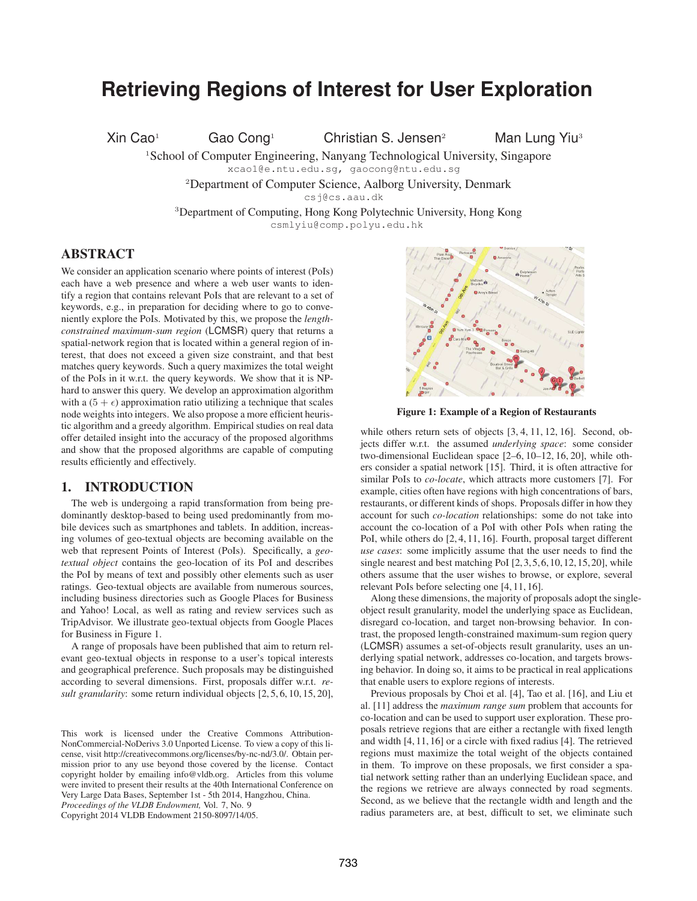# **Retrieving Regions of Interest for User Exploration**

Xin Cao<sup>1</sup> Gao Cong<sup>1</sup> Christian S. Jensen<sup>2</sup> Man Lung Yiu<sup>3</sup>

<sup>1</sup>School of Computer Engineering, Nanyang Technological University, Singapore

xcao1@e.ntu.edu.sg, gaocong@ntu.edu.sg

<sup>2</sup>Department of Computer Science, Aalborg University, Denmark

csj@cs.aau.dk

<sup>3</sup>Department of Computing, Hong Kong Polytechnic University, Hong Kong csmlyiu@comp.polyu.edu.hk

### ABSTRACT

We consider an application scenario where points of interest (PoIs) each have a web presence and where a web user wants to identify a region that contains relevant PoIs that are relevant to a set of keywords, e.g., in preparation for deciding where to go to conveniently explore the PoIs. Motivated by this, we propose the *lengthconstrained maximum-sum region* (LCMSR) query that returns a spatial-network region that is located within a general region of interest, that does not exceed a given size constraint, and that best matches query keywords. Such a query maximizes the total weight of the PoIs in it w.r.t. the query keywords. We show that it is NPhard to answer this query. We develop an approximation algorithm with a  $(5 + \epsilon)$  approximation ratio utilizing a technique that scales node weights into integers. We also propose a more efficient heuristic algorithm and a greedy algorithm. Empirical studies on real data offer detailed insight into the accuracy of the proposed algorithms and show that the proposed algorithms are capable of computing results efficiently and effectively.

### 1. INTRODUCTION

The web is undergoing a rapid transformation from being predominantly desktop-based to being used predominantly from mobile devices such as smartphones and tablets. In addition, increasing volumes of geo-textual objects are becoming available on the web that represent Points of Interest (PoIs). Specifically, a *geotextual object* contains the geo-location of its PoI and describes the PoI by means of text and possibly other elements such as user ratings. Geo-textual objects are available from numerous sources, including business directories such as Google Places for Business and Yahoo! Local, as well as rating and review services such as TripAdvisor. We illustrate geo-textual objects from Google Places for Business in Figure 1.

A range of proposals have been published that aim to return relevant geo-textual objects in response to a user's topical interests and geographical preference. Such proposals may be distinguished according to several dimensions. First, proposals differ w.r.t. *result granularity*: some return individual objects [2, 5, 6, 10, 15, 20],

*Proceedings of the VLDB Endowment,* Vol. 7, No. 9

Copyright 2014 VLDB Endowment 2150-8097/14/05.



Figure 1: Example of a Region of Restaurants

while others return sets of objects [3, 4, 11, 12, 16]. Second, objects differ w.r.t. the assumed *underlying space*: some consider two-dimensional Euclidean space [2–6, 10–12, 16, 20], while others consider a spatial network [15]. Third, it is often attractive for similar PoIs to *co-locate*, which attracts more customers [7]. For example, cities often have regions with high concentrations of bars, restaurants, or different kinds of shops. Proposals differ in how they account for such *co-location* relationships: some do not take into account the co-location of a PoI with other PoIs when rating the PoI, while others do [2, 4, 11, 16]. Fourth, proposal target different *use cases*: some implicitly assume that the user needs to find the single nearest and best matching PoI [2,3,5,6,10,12,15,20], while others assume that the user wishes to browse, or explore, several relevant PoIs before selecting one [4, 11, 16].

Along these dimensions, the majority of proposals adopt the singleobject result granularity, model the underlying space as Euclidean, disregard co-location, and target non-browsing behavior. In contrast, the proposed length-constrained maximum-sum region query (LCMSR) assumes a set-of-objects result granularity, uses an underlying spatial network, addresses co-location, and targets browsing behavior. In doing so, it aims to be practical in real applications that enable users to explore regions of interests.

Previous proposals by Choi et al. [4], Tao et al. [16], and Liu et al. [11] address the *maximum range sum* problem that accounts for co-location and can be used to support user exploration. These proposals retrieve regions that are either a rectangle with fixed length and width [4, 11, 16] or a circle with fixed radius [4]. The retrieved regions must maximize the total weight of the objects contained in them. To improve on these proposals, we first consider a spatial network setting rather than an underlying Euclidean space, and the regions we retrieve are always connected by road segments. Second, as we believe that the rectangle width and length and the radius parameters are, at best, difficult to set, we eliminate such

This work is licensed under the Creative Commons Attribution-NonCommercial-NoDerivs 3.0 Unported License. To view a copy of this license, visit http://creativecommons.org/licenses/by-nc-nd/3.0/. Obtain permission prior to any use beyond those covered by the license. Contact copyright holder by emailing info@vldb.org. Articles from this volume were invited to present their results at the 40th International Conference on Very Large Data Bases, September 1st - 5th 2014, Hangzhou, China.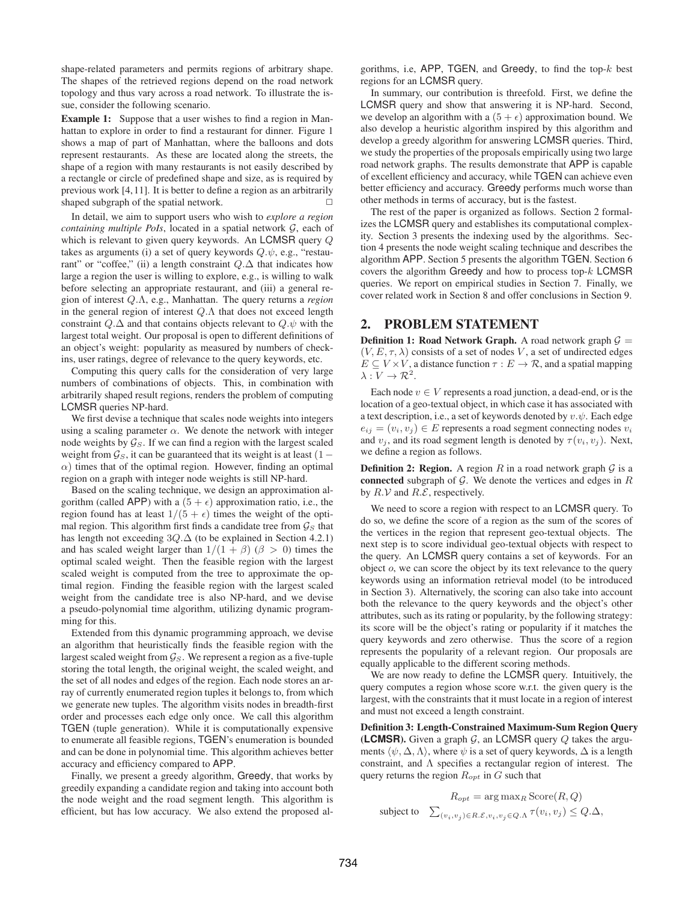shape-related parameters and permits regions of arbitrary shape. The shapes of the retrieved regions depend on the road network topology and thus vary across a road network. To illustrate the issue, consider the following scenario.

Example 1: Suppose that a user wishes to find a region in Manhattan to explore in order to find a restaurant for dinner. Figure 1 shows a map of part of Manhattan, where the balloons and dots represent restaurants. As these are located along the streets, the shape of a region with many restaurants is not easily described by a rectangle or circle of predefined shape and size, as is required by previous work [4,11]. It is better to define a region as an arbitrarily shaped subgraph of the spatial network.

In detail, we aim to support users who wish to *explore a region containing multiple PoIs*, located in a spatial network  $G$ , each of which is relevant to given query keywords. An LCMSR query Q takes as arguments (i) a set of query keywords  $Q.\psi$ , e.g., "restaurant" or "coffee," (ii) a length constraint  $Q.\Delta$  that indicates how large a region the user is willing to explore, e.g., is willing to walk before selecting an appropriate restaurant, and (iii) a general region of interest Q.Λ, e.g., Manhattan. The query returns a *region* in the general region of interest  $Q.\Lambda$  that does not exceed length constraint  $Q.\Delta$  and that contains objects relevant to  $Q.\psi$  with the largest total weight. Our proposal is open to different definitions of an object's weight: popularity as measured by numbers of checkins, user ratings, degree of relevance to the query keywords, etc.

Computing this query calls for the consideration of very large numbers of combinations of objects. This, in combination with arbitrarily shaped result regions, renders the problem of computing LCMSR queries NP-hard.

We first devise a technique that scales node weights into integers using a scaling parameter  $\alpha$ . We denote the network with integer node weights by  $\mathcal{G}_S$ . If we can find a region with the largest scaled weight from  $\mathcal{G}_S$ , it can be guaranteed that its weight is at least (1 –  $\alpha$ ) times that of the optimal region. However, finding an optimal region on a graph with integer node weights is still NP-hard.

Based on the scaling technique, we design an approximation algorithm (called APP) with a  $(5 + \epsilon)$  approximation ratio, i.e., the region found has at least  $1/(5 + \epsilon)$  times the weight of the optimal region. This algorithm first finds a candidate tree from  $\mathcal{G}_S$  that has length not exceeding  $3Q.\Delta$  (to be explained in Section 4.2.1) and has scaled weight larger than  $1/(1 + \beta)$  ( $\beta > 0$ ) times the optimal scaled weight. Then the feasible region with the largest scaled weight is computed from the tree to approximate the optimal region. Finding the feasible region with the largest scaled weight from the candidate tree is also NP-hard, and we devise a pseudo-polynomial time algorithm, utilizing dynamic programming for this.

Extended from this dynamic programming approach, we devise an algorithm that heuristically finds the feasible region with the largest scaled weight from  $\mathcal{G}_S$ . We represent a region as a five-tuple storing the total length, the original weight, the scaled weight, and the set of all nodes and edges of the region. Each node stores an array of currently enumerated region tuples it belongs to, from which we generate new tuples. The algorithm visits nodes in breadth-first order and processes each edge only once. We call this algorithm TGEN (tuple generation). While it is computationally expensive to enumerate all feasible regions, TGEN's enumeration is bounded and can be done in polynomial time. This algorithm achieves better accuracy and efficiency compared to APP.

Finally, we present a greedy algorithm, Greedy, that works by greedily expanding a candidate region and taking into account both the node weight and the road segment length. This algorithm is efficient, but has low accuracy. We also extend the proposed algorithms, i.e,  $APP$ , TGEN, and Greedy, to find the top- $k$  best regions for an LCMSR query.

In summary, our contribution is threefold. First, we define the LCMSR query and show that answering it is NP-hard. Second, we develop an algorithm with a  $(5 + \epsilon)$  approximation bound. We also develop a heuristic algorithm inspired by this algorithm and develop a greedy algorithm for answering LCMSR queries. Third, we study the properties of the proposals empirically using two large road network graphs. The results demonstrate that APP is capable of excellent efficiency and accuracy, while TGEN can achieve even better efficiency and accuracy. Greedy performs much worse than other methods in terms of accuracy, but is the fastest.

The rest of the paper is organized as follows. Section 2 formalizes the LCMSR query and establishes its computational complexity. Section 3 presents the indexing used by the algorithms. Section 4 presents the node weight scaling technique and describes the algorithm APP. Section 5 presents the algorithm TGEN. Section 6 covers the algorithm Greedy and how to process top- $k$  LCMSR queries. We report on empirical studies in Section 7. Finally, we cover related work in Section 8 and offer conclusions in Section 9.

### 2. PROBLEM STATEMENT

**Definition 1: Road Network Graph.** A road network graph  $G =$  $(V, E, \tau, \lambda)$  consists of a set of nodes V, a set of undirected edges  $E \subseteq V \times V$ , a distance function  $\tau : E \to \mathcal{R}$ , and a spatial mapping  $\lambda: V \to \mathcal{R}^2$ .

Each node  $v \in V$  represents a road junction, a dead-end, or is the location of a geo-textual object, in which case it has associated with a text description, i.e., a set of keywords denoted by  $v.\psi$ . Each edge  $e_{ij} = (v_i, v_j) \in E$  represents a road segment connecting nodes  $v_i$ and  $v_i$ , and its road segment length is denoted by  $\tau(v_i, v_j)$ . Next, we define a region as follows.

**Definition 2: Region.** A region R in a road network graph  $G$  is a connected subgraph of  $G$ . We denote the vertices and edges in  $R$ by  $R.V$  and  $R.E$ , respectively.

We need to score a region with respect to an LCMSR query. To do so, we define the score of a region as the sum of the scores of the vertices in the region that represent geo-textual objects. The next step is to score individual geo-textual objects with respect to the query. An LCMSR query contains a set of keywords. For an object o, we can score the object by its text relevance to the query keywords using an information retrieval model (to be introduced in Section 3). Alternatively, the scoring can also take into account both the relevance to the query keywords and the object's other attributes, such as its rating or popularity, by the following strategy: its score will be the object's rating or popularity if it matches the query keywords and zero otherwise. Thus the score of a region represents the popularity of a relevant region. Our proposals are equally applicable to the different scoring methods.

We are now ready to define the LCMSR query. Intuitively, the query computes a region whose score w.r.t. the given query is the largest, with the constraints that it must locate in a region of interest and must not exceed a length constraint.

Definition 3: Length-Constrained Maximum-Sum Region Query **(LCMSR).** Given a graph  $G$ , an LCMSR query  $Q$  takes the arguments  $\langle \psi, \Delta, \Lambda \rangle$ , where  $\psi$  is a set of query keywords,  $\Delta$  is a length constraint, and Λ specifies a rectangular region of interest. The query returns the region  $R_{opt}$  in G such that

$$
R_{opt} = \arg \max_{R} \text{Score}(R, Q)
$$
  
subject to 
$$
\sum_{(v_i, v_j) \in R.\mathcal{E}, v_i, v_j \in Q.\Lambda} \tau(v_i, v_j) \le Q.\Delta,
$$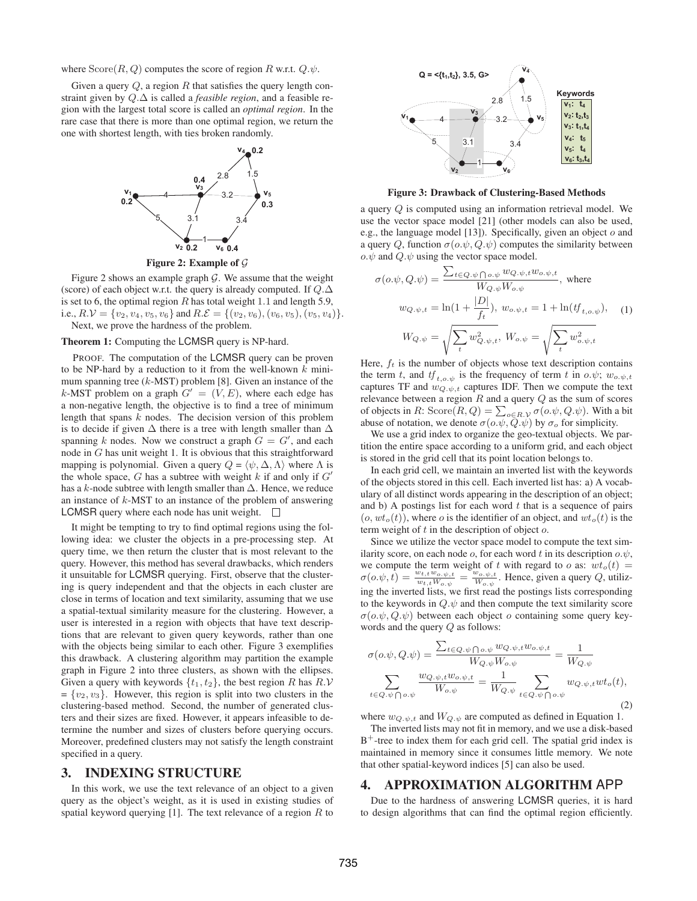where  $\text{Score}(R, Q)$  computes the score of region R w.r.t.  $Q.\psi$ .

Given a query  $Q$ , a region  $R$  that satisfies the query length constraint given by Q.∆ is called a *feasible region*, and a feasible region with the largest total score is called an *optimal region*. In the rare case that there is more than one optimal region, we return the one with shortest length, with ties broken randomly.



Figure 2: Example of G

Figure 2 shows an example graph  $G$ . We assume that the weight (score) of each object w.r.t. the query is already computed. If  $Q.\Delta$ is set to 6, the optimal region  $R$  has total weight 1.1 and length 5.9, i.e.,  $R.V = \{v_2, v_4, v_5, v_6\}$  and  $R.E = \{(v_2, v_6), (v_6, v_5), (v_5, v_4)\}.$ Next, we prove the hardness of the problem.

#### Theorem 1: Computing the LCMSR query is NP-hard.

PROOF. The computation of the LCMSR query can be proven to be NP-hard by a reduction to it from the well-known  $k$  minimum spanning tree  $(k$ -MST) problem [8]. Given an instance of the k-MST problem on a graph  $G' = (V, E)$ , where each edge has a non-negative length, the objective is to find a tree of minimum length that spans  $k$  nodes. The decision version of this problem is to decide if given  $\Delta$  there is a tree with length smaller than  $\Delta$ spanning k nodes. Now we construct a graph  $G = G'$ , and each node in G has unit weight 1. It is obvious that this straightforward mapping is polynomial. Given a query  $Q = \langle \psi, \Delta, \Lambda \rangle$  where  $\Lambda$  is the whole space,  $G$  has a subtree with weight  $k$  if and only if  $G'$ has a k-node subtree with length smaller than  $\Delta$ . Hence, we reduce an instance of k-MST to an instance of the problem of answering **LCMSR** query where each node has unit weight.  $\Box$ 

It might be tempting to try to find optimal regions using the following idea: we cluster the objects in a pre-processing step. At query time, we then return the cluster that is most relevant to the query. However, this method has several drawbacks, which renders it unsuitable for LCMSR querying. First, observe that the clustering is query independent and that the objects in each cluster are close in terms of location and text similarity, assuming that we use a spatial-textual similarity measure for the clustering. However, a user is interested in a region with objects that have text descriptions that are relevant to given query keywords, rather than one with the objects being similar to each other. Figure 3 exemplifies this drawback. A clustering algorithm may partition the example graph in Figure 2 into three clusters, as shown with the ellipses. Given a query with keywords  $\{t_1, t_2\}$ , the best region R has  $R.V$  $= \{v_2, v_3\}.$  However, this region is split into two clusters in the clustering-based method. Second, the number of generated clusters and their sizes are fixed. However, it appears infeasible to determine the number and sizes of clusters before querying occurs. Moreover, predefined clusters may not satisfy the length constraint specified in a query.

### 3. INDEXING STRUCTURE

In this work, we use the text relevance of an object to a given query as the object's weight, as it is used in existing studies of spatial keyword querying [1]. The text relevance of a region  $R$  to



Figure 3: Drawback of Clustering-Based Methods

a query Q is computed using an information retrieval model. We use the vector space model [21] (other models can also be used, e.g., the language model [13]). Specifically, given an object o and a query Q, function  $\sigma(\rho,\psi,Q,\psi)$  computes the similarity between  $o.\psi$  and  $Q.\psi$  using the vector space model.

$$
\sigma(o.\psi, Q.\psi) = \frac{\sum_{t \in Q.\psi \cap o.\psi} w_{Q.\psi,t} w_{o.\psi,t}}{W_{Q.\psi} W_{o.\psi}}, \text{ where}
$$

$$
w_{Q.\psi,t} = \ln(1 + \frac{|D|}{f_t}), w_{o.\psi,t} = 1 + \ln(tf_{t,o.\psi}), \quad (1)
$$

$$
W_{Q.\psi} = \sqrt{\sum_t w_{Q.\psi,t}^2}, W_{o.\psi} = \sqrt{\sum_t w_{o.\psi,t}^2}
$$

Here,  $f_t$  is the number of objects whose text description contains the term t, and  $tf_{t.o.w}$  is the frequency of term t in  $o.\psi$ ;  $w_{o.\psi,t}$ captures TF and  $w_{Q,\psi,t}$  captures IDF. Then we compute the text relevance between a region  $R$  and a query  $Q$  as the sum of scores of objects in R: Score $(R, Q) = \sum_{o \in R, \mathcal{V}} \sigma(o. \psi, Q. \psi)$ . With a bit abuse of notation, we denote  $\sigma(o.\psi, Q.\psi)$  by  $\sigma_o$  for simplicity.

We use a grid index to organize the geo-textual objects. We partition the entire space according to a uniform grid, and each object is stored in the grid cell that its point location belongs to.

In each grid cell, we maintain an inverted list with the keywords of the objects stored in this cell. Each inverted list has: a) A vocabulary of all distinct words appearing in the description of an object; and b) A postings list for each word  $t$  that is a sequence of pairs  $(o, wt<sub>o</sub>(t))$ , where *o* is the identifier of an object, and  $wt<sub>o</sub>(t)$  is the term weight of  $t$  in the description of object  $o$ .

Since we utilize the vector space model to compute the text similarity score, on each node o, for each word t in its description  $o.\psi$ , we compute the term weight of t with regard to o as:  $wt_o(t)$  =  $\sigma(o.\psi, t) = \frac{w_{t,t}w_{o.\psi,t}}{w_{t,t}W_{o.\psi}} = \frac{w_{o.\psi,t}}{W_{o.\psi}}$  $\frac{w_{o.psi,t}}{W_{o.psi}}$ . Hence, given a query Q, utilizing the inverted lists, we first read the postings lists corresponding to the keywords in  $Q.\psi$  and then compute the text similarity score  $\sigma(o, \psi, Q, \psi)$  between each object o containing some query keywords and the query Q as follows:

$$
\sigma(o.\psi, Q.\psi) = \frac{\sum_{t \in Q.\psi \cap o.\psi} w_{Q.\psi,t} w_{o.\psi,t}}{W_{Q.\psi} W_{o.\psi}} = \frac{1}{W_{Q.\psi}}
$$

$$
\sum_{t \in Q.\psi \cap o.\psi} \frac{w_{Q.\psi,t} w_{o.\psi,t}}{W_{o.\psi}} = \frac{1}{W_{Q.\psi}} \sum_{t \in Q.\psi \cap o.\psi} w_{Q.\psi,t} w t_o(t),
$$
(2)

where  $w_{Q,\psi,t}$  and  $W_{Q,\psi}$  are computed as defined in Equation 1.

The inverted lists may not fit in memory, and we use a disk-based B<sup>+</sup>-tree to index them for each grid cell. The spatial grid index is maintained in memory since it consumes little memory. We note that other spatial-keyword indices [5] can also be used.

#### 4. APPROXIMATION ALGORITHM APP

Due to the hardness of answering LCMSR queries, it is hard to design algorithms that can find the optimal region efficiently.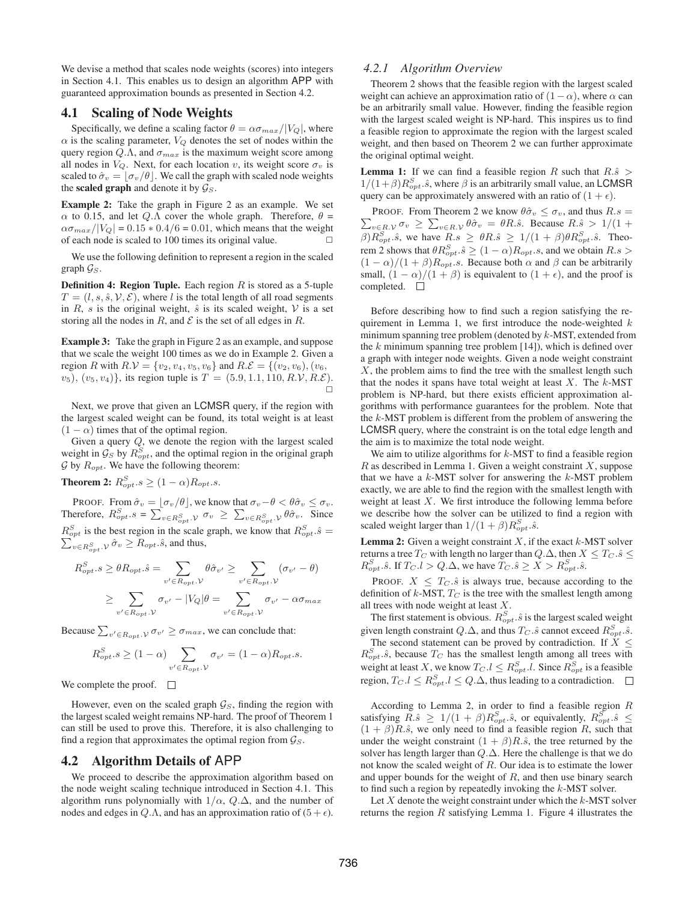We devise a method that scales node weights (scores) into integers in Section 4.1. This enables us to design an algorithm APP with guaranteed approximation bounds as presented in Section 4.2.

### 4.1 Scaling of Node Weights

Specifically, we define a scaling factor  $\theta = \alpha \sigma_{max}/|V_Q|$ , where  $\alpha$  is the scaling parameter,  $V_Q$  denotes the set of nodes within the query region  $Q.\Lambda$ , and  $\sigma_{max}$  is the maximum weight score among all nodes in  $V_Q$ . Next, for each location v, its weight score  $\sigma_v$  is scaled to  $\hat{\sigma}_v = |\sigma_v/\theta|$ . We call the graph with scaled node weights the scaled graph and denote it by  $\mathcal{G}_S$ .

Example 2: Take the graph in Figure 2 as an example. We set  $\alpha$  to 0.15, and let  $Q.\Lambda$  cover the whole graph. Therefore,  $\theta =$  $\alpha\sigma_{max}/|V_Q| = 0.15 * 0.4/6 = 0.01$ , which means that the weight of each node is scaled to 100 times its original value.

We use the following definition to represent a region in the scaled graph  $\mathcal{G}_S$ .

**Definition 4: Region Tuple.** Each region  $R$  is stored as a 5-tuple  $T = (l, s, \hat{s}, \mathcal{V}, \mathcal{E})$ , where l is the total length of all road segments in R, s is the original weight,  $\hat{s}$  is its scaled weight, V is a set storing all the nodes in R, and  $\mathcal E$  is the set of all edges in R.

Example 3: Take the graph in Figure 2 as an example, and suppose that we scale the weight 100 times as we do in Example 2. Given a region R with  $R.V = \{v_2, v_4, v_5, v_6\}$  and  $R.E = \{(v_2, v_6), (v_6, v_7)\}$  $(v_5)$ ,  $(v_5, v_4)$ , its region tuple is  $T = (5.9, 1.1, 110, R.V, R.E)$ .  $\Box$ 

Next, we prove that given an LCMSR query, if the region with the largest scaled weight can be found, its total weight is at least  $(1 - \alpha)$  times that of the optimal region.

Given a query  $Q$ , we denote the region with the largest scaled weight in  $\mathcal{G}_S$  by  $R_{opt}^S$ , and the optimal region in the original graph  $G$  by  $R_{opt}$ . We have the following theorem:

**Theorem 2:**  $R_{opt}^S.s \geq (1-\alpha)R_{opt}.s$ .

PROOF. From  $\hat{\sigma}_v = [\sigma_v/\theta]$ , we know that  $\sigma_v - \theta < \theta \hat{\sigma}_v \leq \sigma_v$ . Therefore,  $R_{opt}^S \cdot s = \sum_{v \in R_{opt}^S \cdot v} \sigma_v \ge \sum_{v \in R_{opt}^S \cdot v} \theta \hat{\sigma}_v$ . Since  $R_{opt}^S$  is the best region in the scale graph, we know that  $R_{opt}^S.\hat{s} = \sum_{v \in B^S} \delta_v \hat{\sigma}_v \ge R_{opt}.\hat{s}$ , and thus,  $v \in R_{opt}^S$ . $\mathcal{V} \hat{\sigma}_v \ge R_{opt}.\hat{s}$ , and thus,

$$
R_{opt}^{S}.s \geq \theta R_{opt}.\hat{s} = \sum_{v' \in R_{opt}.\mathcal{V}} \theta \hat{\sigma}_{v'} \geq \sum_{v' \in R_{opt}.\mathcal{V}} (\sigma_{v'} - \theta)
$$

$$
\geq \sum_{v' \in R_{opt}.\mathcal{V}} \sigma_{v'} - |V_Q|\theta = \sum_{v' \in R_{opt}.\mathcal{V}} \sigma_{v'} - \alpha \sigma_{max}
$$

Because  $\sum_{v' \in R_{opt}} \mathcal{V} \sigma_{v'} \geq \sigma_{max}$ , we can conclude that:

$$
R_{opt}^S \ge (1 - \alpha) \sum_{v' \in R_{opt} \cdot \mathcal{V}} \sigma_{v'} = (1 - \alpha) R_{opt} \cdot s.
$$

We complete the proof.  $\Box$ 

However, even on the scaled graph  $\mathcal{G}_S$ , finding the region with the largest scaled weight remains NP-hard. The proof of Theorem 1 can still be used to prove this. Therefore, it is also challenging to find a region that approximates the optimal region from  $\mathcal{G}_S$ .

### 4.2 Algorithm Details of APP

We proceed to describe the approximation algorithm based on the node weight scaling technique introduced in Section 4.1. This algorithm runs polynomially with  $1/\alpha$ ,  $Q.\Delta$ , and the number of nodes and edges in  $Q.\Lambda$ , and has an approximation ratio of  $(5 + \epsilon)$ .

### *4.2.1 Algorithm Overview*

Theorem 2 shows that the feasible region with the largest scaled weight can achieve an approximation ratio of  $(1-\alpha)$ , where  $\alpha$  can be an arbitrarily small value. However, finding the feasible region with the largest scaled weight is NP-hard. This inspires us to find a feasible region to approximate the region with the largest scaled weight, and then based on Theorem 2 we can further approximate the original optimal weight.

**Lemma 1:** If we can find a feasible region R such that  $R.\hat{s}$  $1/(1+\beta)R_{opt}^S.\hat{s}$ , where  $\beta$  is an arbitrarily small value, an LCMSR query can be approximately answered with an ratio of  $(1 + \epsilon)$ .

 $\sum_{v \in R, \mathcal{V}} \sigma_v \geq \sum_{v \in R, \mathcal{V}} \theta \hat{\sigma}_v = \theta R . \hat{s}$ . Because  $R . \hat{s} > 1/(1 + \theta_v)$ PROOF. From Theorem 2 we know  $\theta \hat{\sigma}_v \leq \sigma_v$ , and thus  $R.s$  $\beta$ ) $R_{opt}^S.\hat{s}$ , we have  $R.s \geq \theta R.\hat{s} \geq 1/(1+\beta)\theta R_{opt}^S.\hat{s}$ . Theorem 2 shows that  $\theta R_{opt}^S$ . $\hat{s} \ge (1 - \alpha) R_{opt}.s$ , and we obtain  $R.s$  $(1 - \alpha)/(1 + \beta)R_{opt}.$  Because both  $\alpha$  and  $\beta$  can be arbitrarily small,  $(1 - \alpha)/(1 + \beta)$  is equivalent to  $(1 + \epsilon)$ , and the proof is completed.  $\square$ 

Before describing how to find such a region satisfying the requirement in Lemma 1, we first introduce the node-weighted  $k$ minimum spanning tree problem (denoted by k-MST, extended from the  $k$  minimum spanning tree problem  $[14]$ ), which is defined over a graph with integer node weights. Given a node weight constraint  $X$ , the problem aims to find the tree with the smallest length such that the nodes it spans have total weight at least  $X$ . The  $k$ -MST problem is NP-hard, but there exists efficient approximation algorithms with performance guarantees for the problem. Note that the k-MST problem is different from the problem of answering the LCMSR query, where the constraint is on the total edge length and the aim is to maximize the total node weight.

We aim to utilize algorithms for  $k$ -MST to find a feasible region  $R$  as described in Lemma 1. Given a weight constraint  $X$ , suppose that we have a  $k$ -MST solver for answering the  $k$ -MST problem exactly, we are able to find the region with the smallest length with weight at least  $X$ . We first introduce the following lemma before we describe how the solver can be utilized to find a region with scaled weight larger than  $1/(1+\beta)R_{opt}^S.\hat{s}$ .

**Lemma 2:** Given a weight constraint  $X$ , if the exact  $k$ -MST solver returns a tree  $T_C$  with length no larger than  $Q.\Delta$ , then  $X \leq T_C.\hat{s} \leq$  $R_{opt}^S.\hat{s}$ . If  $T_C.l > Q.\Delta$ , we have  $T_C.\hat{s} \ge X > R_{opt}^S.\hat{s}$ .

PROOF.  $X \leq T_{C} \hat{s}$  is always true, because according to the definition of  $k$ -MST,  $T_C$  is the tree with the smallest length among all trees with node weight at least X.

The first statement is obvious.  $R_{opt}^S.\hat{s}$  is the largest scaled weight given length constraint Q. $\Delta$ , and thus  $T_C.\hat{s}$  cannot exceed  $R_{opt}^S.\hat{s}$ . The second statement can be proved by contradiction. If  $X \leq$  $R_{opt}^{S}$ . $\hat{s}$ , because  $T_C$  has the smallest length among all trees with weight at least X, we know  $T_C$ . $l \leq R_{opt}^S$ .*l*. Since  $R_{opt}^S$  is a feasible region,  $T_C$  . $l \leq R_{opt}^S$  .  $l \leq Q$  .  $\Delta$ , thus leading to a contradiction.

According to Lemma 2, in order to find a feasible region R satisfying  $R.\hat{s} \geq 1/(1+\beta)R_{opt}^S.\hat{s}$ , or equivalently,  $R_{opt}^S.\hat{s} \leq$  $(1 + \beta)R.\hat{s}$ , we only need to find a feasible region R, such that under the weight constraint  $(1 + \beta)R.\hat{s}$ , the tree returned by the solver has length larger than  $Q.\Delta$ . Here the challenge is that we do not know the scaled weight of R. Our idea is to estimate the lower and upper bounds for the weight of  $R$ , and then use binary search to find such a region by repeatedly invoking the k-MST solver.

Let  $X$  denote the weight constraint under which the  $k$ -MST solver returns the region  $R$  satisfying Lemma 1. Figure 4 illustrates the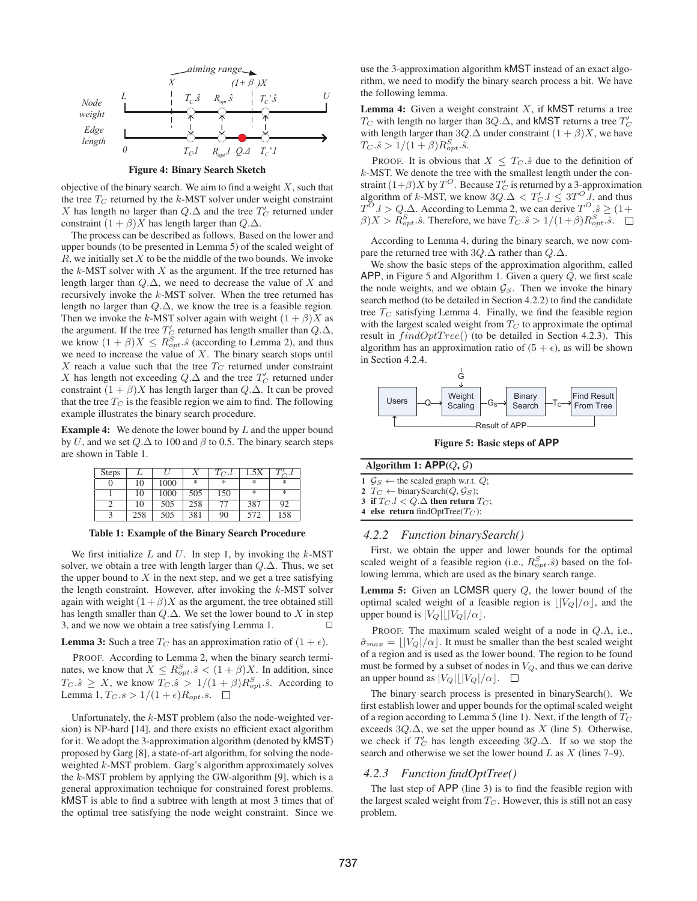

Figure 4: Binary Search Sketch

objective of the binary search. We aim to find a weight  $X$ , such that the tree  $T_C$  returned by the k-MST solver under weight constraint X has length no larger than  $Q.\Delta$  and the tree  $T_C'$  returned under constraint  $(1 + \beta)X$  has length larger than  $Q.\Delta$ .

The process can be described as follows. Based on the lower and upper bounds (to be presented in Lemma 5) of the scaled weight of  $R$ , we initially set  $X$  to be the middle of the two bounds. We invoke the  $k$ -MST solver with  $X$  as the argument. If the tree returned has length larger than  $Q.\Delta$ , we need to decrease the value of X and recursively invoke the k-MST solver. When the tree returned has length no larger than  $Q.\Delta$ , we know the tree is a feasible region. Then we invoke the k-MST solver again with weight  $(1 + \beta)X$  as the argument. If the tree  $T_C'$  returned has length smaller than  $Q.\Delta,$ we know  $(1 + \beta)X \le R_{opt}^S$ .  $\hat{s}$  (according to Lemma 2), and thus we need to increase the value of  $X$ . The binary search stops until X reach a value such that the tree  $T_C$  returned under constraint X has length not exceeding  $Q.\Delta$  and the tree  $T_C'$  returned under constraint  $(1 + \beta)X$  has length larger than  $Q.\Delta$ . It can be proved that the tree  $T_C$  is the feasible region we aim to find. The following example illustrates the binary search procedure.

**Example 4:** We denote the lower bound by  $L$  and the upper bound by U, and we set  $Q.\Delta$  to 100 and  $\beta$  to 0.5. The binary search steps are shown in Table 1.

| <b>Steps</b> |     |      |     | $T_{C}.l$ | 1.5X          |     |
|--------------|-----|------|-----|-----------|---------------|-----|
|              | 10  | 1000 | *   | 氺         | *             | *   |
|              | 10  | 1000 | 505 | 150       | $\frac{1}{2}$ | *   |
|              | 10  | 505  | 258 |           | 387           | 92  |
|              | 258 | 505  | 381 | 90        | 572           | 158 |

Table 1: Example of the Binary Search Procedure

We first initialize  $L$  and  $U$ . In step 1, by invoking the  $k$ -MST solver, we obtain a tree with length larger than  $Q.\Delta$ . Thus, we set the upper bound to  $X$  in the next step, and we get a tree satisfying the length constraint. However, after invoking the  $k$ -MST solver again with weight  $(1 + \beta)X$  as the argument, the tree obtained still has length smaller than  $Q.\Delta$ . We set the lower bound to X in step 3, and we now we obtain a tree satisfying Lemma 1.  $\Box$ 

#### **Lemma 3:** Such a tree  $T_C$  has an approximation ratio of  $(1 + \epsilon)$ .

PROOF. According to Lemma 2, when the binary search terminates, we know that  $X \leq R_{opt}^S$ .  $\hat{s} < (1 + \beta)X$ . In addition, since  $T_C.\hat{s} \geq X$ , we know  $T_C.\hat{s} > 1/(1+\beta)R_{opt}^S.\hat{s}$ . According to Lemma 1,  $T_C.s > 1/(1+\epsilon)R_{opt}.s$ .  $\Box$ 

Unfortunately, the  $k$ -MST problem (also the node-weighted version) is NP-hard [14], and there exists no efficient exact algorithm for it. We adopt the 3-approximation algorithm (denoted by kMST) proposed by Garg [8], a state-of-art algorithm, for solving the nodeweighted k-MST problem. Garg's algorithm approximately solves the  $k$ -MST problem by applying the GW-algorithm [9], which is a general approximation technique for constrained forest problems. kMST is able to find a subtree with length at most 3 times that of the optimal tree satisfying the node weight constraint. Since we

use the 3-approximation algorithm kMST instead of an exact algorithm, we need to modify the binary search process a bit. We have the following lemma.

**Lemma 4:** Given a weight constraint  $X$ , if kMST returns a tree  $T_C$  with length no larger than 3Q.∆, and kMST returns a tree  $T_C'$ with length larger than 3Q. $\Delta$  under constraint  $(1 + \beta)X$ , we have  $T_C.\hat{s} > 1/(1+\beta)R_{opt}^S.\hat{s}.$ 

PROOF. It is obvious that  $X \leq T_C \hat{s}$  due to the definition of k-MST. We denote the tree with the smallest length under the constraint  $(1+\beta)X$  by  $T^O$ . Because  $T'_C$  is returned by a 3-approximation algorithm of k-MST, we know  $3Q.\Delta < T'_C.l \leq 3T^O.l$ , and thus  $T^{O}.l > Q.\Delta$ . According to Lemma 2, we can derive  $T^{O}.\hat{s} \geq (1 +$  $\beta$ ) $X > R_{opt}^S$ .  $\hat{s}$ . Therefore, we have  $T_C \cdot \hat{s} > 1/(1+\beta)R_{opt}^S \cdot \hat{s}$ .

According to Lemma 4, during the binary search, we now compare the returned tree with  $3Q.\Delta$  rather than  $Q.\Delta$ .

We show the basic steps of the approximation algorithm, called APP, in Figure 5 and Algorithm 1. Given a query Q, we first scale the node weights, and we obtain  $\mathcal{G}_S$ . Then we invoke the binary search method (to be detailed in Section 4.2.2) to find the candidate tree  $T_C$  satisfying Lemma 4. Finally, we find the feasible region with the largest scaled weight from  $T_C$  to approximate the optimal result in  $findOptTree()$  (to be detailed in Section 4.2.3). This algorithm has an approximation ratio of  $(5 + \epsilon)$ , as will be shown in Section 4.2.4.



Figure 5: Basic steps of **APP**

| Algorithm 1: $\mathsf{APP}(Q, \mathcal{G})$ |                                                            |  |  |  |  |  |
|---------------------------------------------|------------------------------------------------------------|--|--|--|--|--|
|                                             | $1 \mathcal{G}_S \leftarrow$ the scaled graph w.r.t. $Q$ ; |  |  |  |  |  |

2  $T_C \leftarrow$  binarySearch( $Q, \mathcal{G}_S$ );

3 if  $T_C$   $l < Q$   $\Delta$  then return  $T_C$ ;

4 else return findOptTree( $T_C$ );

### *4.2.2 Function binarySearch()*

First, we obtain the upper and lower bounds for the optimal scaled weight of a feasible region (i.e.,  $R_{opt}^{S}(\hat{s})$  based on the following lemma, which are used as the binary search range.

**Lemma 5:** Given an LCMSR query  $Q$ , the lower bound of the optimal scaled weight of a feasible region is  $\frac{|V_Q|}{\alpha}$ , and the upper bound is  $|V_Q||V_Q|/\alpha$ .

PROOF. The maximum scaled weight of a node in  $Q.\Lambda$ , i.e.,  $\hat{\sigma}_{max} = ||V_Q|/\alpha$ . It must be smaller than the best scaled weight of a region and is used as the lower bound. The region to be found must be formed by a subset of nodes in  $V_Q$ , and thus we can derive an upper bound as  $|V_Q|$  $|V_Q|/\alpha$ .  $\Box$ 

The binary search process is presented in binarySearch(). We first establish lower and upper bounds for the optimal scaled weight of a region according to Lemma 5 (line 1). Next, if the length of  $T_C$ exceeds  $3Q.\Delta$ , we set the upper bound as X (line 5). Otherwise, we check if  $T'_C$  has length exceeding 3Q. $\Delta$ . If so we stop the search and otherwise we set the lower bound  $L$  as  $X$  (lines 7–9).

### *4.2.3 Function findOptTree()*

The last step of APP (line 3) is to find the feasible region with the largest scaled weight from  $T_C$ . However, this is still not an easy problem.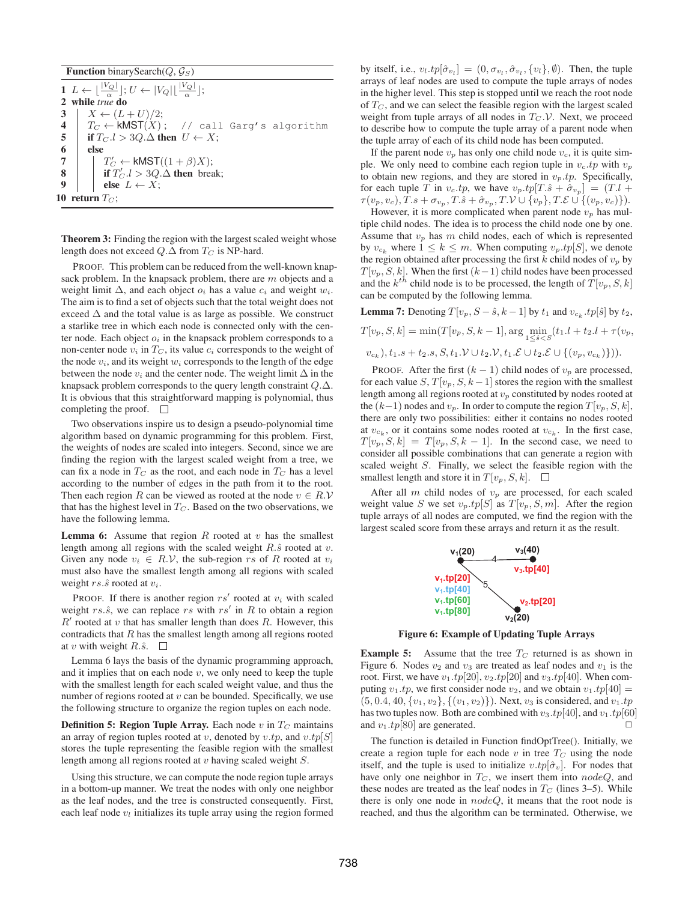**Function** binarySearch( $Q$ ,  $\mathcal{G}_S$ )

1  $L \leftarrow \lfloor \frac{|V_Q|}{\alpha} \rfloor$ ;  $U \leftarrow |V_Q| \lfloor \frac{|V_Q|}{\alpha} \rfloor$ ;  $\frac{1}{2}$  while *true* do 3 |  $X \leftarrow (L+U)/2;$ 4  $T_C \leftarrow \text{KMST}(X);$  // call Garg's algorithm<br>5 if  $T_C.l > 3Q.\Delta$  then  $U \leftarrow X;$ if  $T_C$ .l > 3Q.∆ then  $U \leftarrow X$ ; 6 else 7 |  $T'_C \leftarrow \mathsf{kMST}((1+\beta)X);$ 8 if  $T'_C.l > 3Q.\Delta$  then break; 9 | else  $L \leftarrow X$ ; 10 return  $T_C$ ;

Theorem 3: Finding the region with the largest scaled weight whose length does not exceed  $Q.\Delta$  from  $T_C$  is NP-hard.

PROOF. This problem can be reduced from the well-known knapsack problem. In the knapsack problem, there are  $m$  objects and a weight limit  $\Delta$ , and each object  $o_i$  has a value  $c_i$  and weight  $w_i$ . The aim is to find a set of objects such that the total weight does not exceed  $\Delta$  and the total value is as large as possible. We construct a starlike tree in which each node is connected only with the center node. Each object  $o_i$  in the knapsack problem corresponds to a non-center node  $v_i$  in  $T_C$ , its value  $c_i$  corresponds to the weight of the node  $v_i$ , and its weight  $w_i$  corresponds to the length of the edge between the node  $v_i$  and the center node. The weight limit  $\Delta$  in the knapsack problem corresponds to the query length constraint Q.∆. It is obvious that this straightforward mapping is polynomial, thus completing the proof.  $\square$ 

Two observations inspire us to design a pseudo-polynomial time algorithm based on dynamic programming for this problem. First, the weights of nodes are scaled into integers. Second, since we are finding the region with the largest scaled weight from a tree, we can fix a node in  $T_C$  as the root, and each node in  $T_C$  has a level according to the number of edges in the path from it to the root. Then each region R can be viewed as rooted at the node  $v \in R.V$ that has the highest level in  $T_C$ . Based on the two observations, we have the following lemma.

**Lemma 6:** Assume that region  $R$  rooted at  $v$  has the smallest length among all regions with the scaled weight  $R.\hat{s}$  rooted at  $v$ . Given any node  $v_i \in R.V$ , the sub-region rs of R rooted at  $v_i$ must also have the smallest length among all regions with scaled weight  $rs.\hat{s}$  rooted at  $v_i$ .

PROOF. If there is another region  $rs'$  rooted at  $v_i$  with scaled weight  $rs.\hat{s}$ , we can replace  $rs$  with  $rs'$  in  $R$  to obtain a region  $R'$  rooted at  $v$  that has smaller length than does  $R$ . However, this contradicts that  $R$  has the smallest length among all regions rooted at v with weight  $R.\hat{s}$ .  $\square$ 

Lemma 6 lays the basis of the dynamic programming approach, and it implies that on each node  $v$ , we only need to keep the tuple with the smallest length for each scaled weight value, and thus the number of regions rooted at  $v$  can be bounded. Specifically, we use the following structure to organize the region tuples on each node.

**Definition 5: Region Tuple Array.** Each node  $v$  in  $T_C$  maintains an array of region tuples rooted at v, denoted by  $v(tp, \text{ and } v(tp[S])$ stores the tuple representing the feasible region with the smallest length among all regions rooted at v having scaled weight S.

Using this structure, we can compute the node region tuple arrays in a bottom-up manner. We treat the nodes with only one neighbor as the leaf nodes, and the tree is constructed consequently. First, each leaf node  $v_l$  initializes its tuple array using the region formed

by itself, i.e.,  $v_l.tp[\hat{\sigma}_{v_l}] = (0, \sigma_{v_l}, \hat{\sigma}_{v_l}, \{v_l\}, \emptyset)$ . Then, the tuple arrays of leaf nodes are used to compute the tuple arrays of nodes in the higher level. This step is stopped until we reach the root node of  $T_{C}$ , and we can select the feasible region with the largest scaled weight from tuple arrays of all nodes in  $T_C$ . V. Next, we proceed to describe how to compute the tuple array of a parent node when the tuple array of each of its child node has been computed.

If the parent node  $v_p$  has only one child node  $v_c$ , it is quite simple. We only need to combine each region tuple in  $v_c$  to with  $v_p$ to obtain new regions, and they are stored in  $v_p \cdot tp$ . Specifically, for each tuple T in  $v_c(tp)$ , we have  $v_p(tp[T.\hat{s} + \hat{\sigma}_{v_p}] = (T.l +$  $\tau(v_p, v_c), T.s + \sigma_{v_p}, T.\hat{s} + \hat{\sigma}_{v_p}, T.\mathcal{V} \cup \{v_p\}, T.\mathcal{E} \cup \{(v_p, v_c)\}).$ 

However, it is more complicated when parent node  $v_p$  has multiple child nodes. The idea is to process the child node one by one. Assume that  $v_p$  has m child nodes, each of which is represented by  $v_{c_k}$  where  $1 \leq k \leq m$ . When computing  $v_p.tp[S]$ , we denote the region obtained after processing the first  $k$  child nodes of  $v_p$  by  $T[v_p, S, k]$ . When the first  $(k-1)$  child nodes have been processed and the  $k^{th}$  child node is to be processed, the length of  $T[v_p, S, k]$ can be computed by the following lemma.

**Lemma 7:** Denoting  $T[v_p, S - \hat{s}, k - 1]$  by  $t_1$  and  $v_{c_k}.tp[\hat{s}]$  by  $t_2$ ,

 $T[v_p, S, k] = \min(T[v_p, S, k-1], \arg\min_{1 \leq \hat{s} < S} (t_1 \cdot l + t_2 \cdot l + \tau(v_p,$  $(v_{c_k}), t_1.s + t_2.s, S, t_1.V \cup t_2.V, t_1.\mathcal{E} \cup t_2.\mathcal{E} \cup \{(v_p, v_{c_k})\})$ .

PROOF. After the first  $(k - 1)$  child nodes of  $v_p$  are processed, for each value  $S, T[v_p, S, k-1]$  stores the region with the smallest length among all regions rooted at  $v_p$  constituted by nodes rooted at the  $(k-1)$  nodes and  $v_p$ . In order to compute the region  $T[v_p, S, k]$ , there are only two possibilities: either it contains no nodes rooted at  $v_{c_k}$ , or it contains some nodes rooted at  $v_{c_k}$ . In the first case,  $T[v_p, S, k] = T[v_p, S, k-1]$ . In the second case, we need to consider all possible combinations that can generate a region with scaled weight S. Finally, we select the feasible region with the smallest length and store it in  $T[v_p, S, k]$ .  $\Box$ 

After all  $m$  child nodes of  $v_p$  are processed, for each scaled weight value S we set  $v_p.tp[S]$  as  $T[v_p, S, m]$ . After the region tuple arrays of all nodes are computed, we find the region with the largest scaled score from these arrays and return it as the result.



Figure 6: Example of Updating Tuple Arrays

**Example 5:** Assume that the tree  $T_C$  returned is as shown in Figure 6. Nodes  $v_2$  and  $v_3$  are treated as leaf nodes and  $v_1$  is the root. First, we have  $v_1.tp[20], v_2.tp[20]$  and  $v_3.tp[40]$ . When computing  $v_1 \cdot tp$ , we first consider node  $v_2$ , and we obtain  $v_1 \cdot tp[40] =$  $(5, 0.4, 40, \{v_1, v_2\}, \{(v_1, v_2)\})$ . Next,  $v_3$  is considered, and  $v_1 \cdot tp$ has two tuples now. Both are combined with  $v_3.tp[40]$ , and  $v_1.tp[60]$ and  $v_1.tp[80]$  are generated.

The function is detailed in Function findOptTree(). Initially, we create a region tuple for each node v in tree  $T_C$  using the node itself, and the tuple is used to initialize  $v(tp|\hat{\sigma}_v]$ . For nodes that have only one neighbor in  $T_C$ , we insert them into nodeQ, and these nodes are treated as the leaf nodes in  $T_C$  (lines 3–5). While there is only one node in  $nodeQ$ , it means that the root node is reached, and thus the algorithm can be terminated. Otherwise, we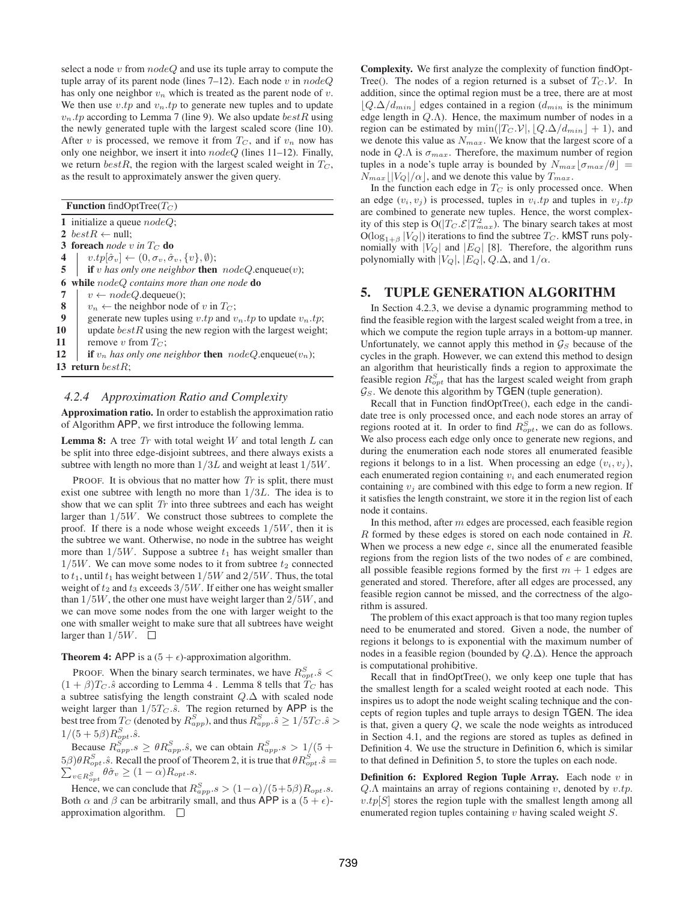select a node  $v$  from  $nodeQ$  and use its tuple array to compute the tuple array of its parent node (lines  $7-12$ ). Each node v in  $nodeQ$ has only one neighbor  $v_n$  which is treated as the parent node of v. We then use  $v \cdot tp$  and  $v_n \cdot tp$  to generate new tuples and to update  $v_n$  *tp* according to Lemma 7 (line 9). We also update *bestR* using the newly generated tuple with the largest scaled score (line 10). After v is processed, we remove it from  $T_C$ , and if  $v_n$  now has only one neighbor, we insert it into  $nodeQ$  (lines 11–12). Finally, we return bestR, the region with the largest scaled weight in  $T_C$ , as the result to approximately answer the given query.

**Function** findOptTree( $T_C$ )

13 return bestR:

1 initialize a queue  $nodeQ$ ; 2 best $R \leftarrow$  null; 3 foreach *node* v in  $T_C$  do 4 |  $v.tp[\hat{\sigma}_v] \leftarrow (0, \sigma_v, \hat{\sigma}_v, \{v\}, \emptyset);$ 5 if v has only one neighbor **then**  $nodeQ$  enqueue $(v)$ ; 6 while  $nodeQ$  *contains more than one node* **do**<br>7  $v \leftarrow nodeQ$ . dequeue(): 7  $\begin{array}{|l} \hline \text{7} & v \leftarrow nodeQ.\text{dequeue}(\text{)}; \\ \hline \text{8} & v_n \leftarrow \text{the neighbor node} \end{array}$ 8  $v_n \leftarrow$  the neighbor node of v in  $T_C$ ;<br>9 generate new tuples using v.tv and v 9 generate new tuples using *v*.tp and  $v_n$ .tp to update  $v_n$ .tp;<br>10 update  $bestR$  using the new region with the largest weight update  $bestR$  using the new region with the largest weight; 11 | remove v from  $T_C$ ; 12 **if**  $v_n$  *has only one neighbor* then  $nodeQ$  enqueue $(v_n)$ ;

### *4.2.4 Approximation Ratio and Complexity*

Approximation ratio. In order to establish the approximation ratio of Algorithm APP, we first introduce the following lemma.

**Lemma 8:** A tree  $Tr$  with total weight  $W$  and total length  $L$  can be split into three edge-disjoint subtrees, and there always exists a subtree with length no more than  $1/3L$  and weight at least  $1/5W$ .

PROOF. It is obvious that no matter how  $Tr$  is split, there must exist one subtree with length no more than 1/3L. The idea is to show that we can split  $Tr$  into three subtrees and each has weight larger than  $1/5W$ . We construct those subtrees to complete the proof. If there is a node whose weight exceeds  $1/5W$ , then it is the subtree we want. Otherwise, no node in the subtree has weight more than  $1/5W$ . Suppose a subtree  $t_1$  has weight smaller than  $1/5W$ . We can move some nodes to it from subtree  $t_2$  connected to  $t_1$ , until  $t_1$  has weight between  $1/5W$  and  $2/5W$ . Thus, the total weight of  $t_2$  and  $t_3$  exceeds  $3/5W$ . If either one has weight smaller than  $1/5W$ , the other one must have weight larger than  $2/5W$ , and we can move some nodes from the one with larger weight to the one with smaller weight to make sure that all subtrees have weight larger than  $1/5W$ .  $\Box$ 

**Theorem 4:** APP is a  $(5 + \epsilon)$ -approximation algorithm.

PROOF. When the binary search terminates, we have  $R_{opt}^S$ .  $\hat{s}$  <  $(1 + \beta)T_C \hat{s}$  according to Lemma 4. Lemma 8 tells that  $T_C$  has a subtree satisfying the length constraint Q.∆ with scaled node weight larger than  $1/5T_C \hat{s}$ . The region returned by APP is the best tree from  $T_C$  (denoted by  $R_{app}^S$ ), and thus  $R_{app}^S.\hat{s} \geq 1/5T_C.\hat{s} > 0$  $1/(5+5\beta)R_{opt}^{S}.\hat{s}.$ 

Because  $R_{app}^S$ ,  $s \geq \theta R_{app}^S$ ,  $\hat{s}$ , we can obtain  $R_{app}^S$ ,  $s > 1/(5 + \theta)$  $5\beta)\theta R_{opt}^S.\hat{s}$ . Recall the proof of Theorem 2, it is true that  $\theta R_{opt}^S.\hat{s} = \sum_{v \in R^S} \theta \hat{\sigma}_v \ge (1 - \alpha) R_{opt}.s$ .  $\lim_{v \in R_{opt}^S} \theta \hat{\sigma}_v \geq (1 - \alpha) R_{opt}.s.$ 

Hence, we can conclude that  $R_{app}.s > (1-\alpha)/(5+5\beta)R_{opt}.s$ . Both  $\alpha$  and  $\beta$  can be arbitrarily small, and thus APP is a  $(5 + \epsilon)$ approximation algorithm.  $\square$ 

Complexity. We first analyze the complexity of function findOpt-Tree(). The nodes of a region returned is a subset of  $T_C$ . V. In addition, since the optimal region must be a tree, there are at most  $|Q.\Delta/d_{min}|$  edges contained in a region  $(d_{min}$  is the minimum edge length in  $Q.\Lambda$ ). Hence, the maximum number of nodes in a region can be estimated by min( $|T_C V|, |Q.\Delta/d_{min}| + 1$ ), and we denote this value as  $N_{max}$ . We know that the largest score of a node in  $Q.\Lambda$  is  $\sigma_{max}$ . Therefore, the maximum number of region tuples in a node's tuple array is bounded by  $N_{max}[\sigma_{max}/\theta] =$  $N_{max}$   $\left|V_Q\right|/\alpha\right|$ , and we denote this value by  $T_{max}$ .

In the function each edge in  $T_C$  is only processed once. When an edge  $(v_i, v_j)$  is processed, tuples in  $v_i$  tp and tuples in  $v_j$  tp are combined to generate new tuples. Hence, the worst complexity of this step is  $O(|T_C.\mathcal{E}|T_{max}^2)$ . The binary search takes at most  $O(\log_{1+\beta}|V_Q|)$  iterations to find the subtree  $T_C$ . kMST runs polynomially with  $|V_Q|$  and  $|E_Q|$  [8]. Therefore, the algorithm runs polynomially with  $|V_Q|$ ,  $|E_Q|$ ,  $Q.\Delta$ , and  $1/\alpha$ .

### 5. TUPLE GENERATION ALGORITHM

In Section 4.2.3, we devise a dynamic programming method to find the feasible region with the largest scaled weight from a tree, in which we compute the region tuple arrays in a bottom-up manner. Unfortunately, we cannot apply this method in  $\mathcal{G}_S$  because of the cycles in the graph. However, we can extend this method to design an algorithm that heuristically finds a region to approximate the feasible region  $R_{opt}^S$  that has the largest scaled weight from graph  $\mathcal{G}_S$ . We denote this algorithm by TGEN (tuple generation).

Recall that in Function findOptTree(), each edge in the candidate tree is only processed once, and each node stores an array of regions rooted at it. In order to find  $R_{opt}^S$ , we can do as follows. We also process each edge only once to generate new regions, and during the enumeration each node stores all enumerated feasible regions it belongs to in a list. When processing an edge  $(v_i, v_j)$ , each enumerated region containing  $v_i$  and each enumerated region containing  $v_i$  are combined with this edge to form a new region. If it satisfies the length constraint, we store it in the region list of each node it contains.

In this method, after  $m$  edges are processed, each feasible region  $R$  formed by these edges is stored on each node contained in  $R$ . When we process a new edge  $e$ , since all the enumerated feasible regions from the region lists of the two nodes of e are combined, all possible feasible regions formed by the first  $m + 1$  edges are generated and stored. Therefore, after all edges are processed, any feasible region cannot be missed, and the correctness of the algorithm is assured.

The problem of this exact approach is that too many region tuples need to be enumerated and stored. Given a node, the number of regions it belongs to is exponential with the maximum number of nodes in a feasible region (bounded by  $Q.\Delta$ ). Hence the approach is computational prohibitive.

Recall that in findOptTree(), we only keep one tuple that has the smallest length for a scaled weight rooted at each node. This inspires us to adopt the node weight scaling technique and the concepts of region tuples and tuple arrays to design TGEN. The idea is that, given a query Q, we scale the node weights as introduced in Section 4.1, and the regions are stored as tuples as defined in Definition 4. We use the structure in Definition 6, which is similar to that defined in Definition 5, to store the tuples on each node.

**Definition 6: Explored Region Tuple Array.** Each node  $v$  in  $Q.\Lambda$  maintains an array of regions containing v, denoted by  $v(tp)$ .  $v(tp[S]$  stores the region tuple with the smallest length among all enumerated region tuples containing  $v$  having scaled weight  $S$ .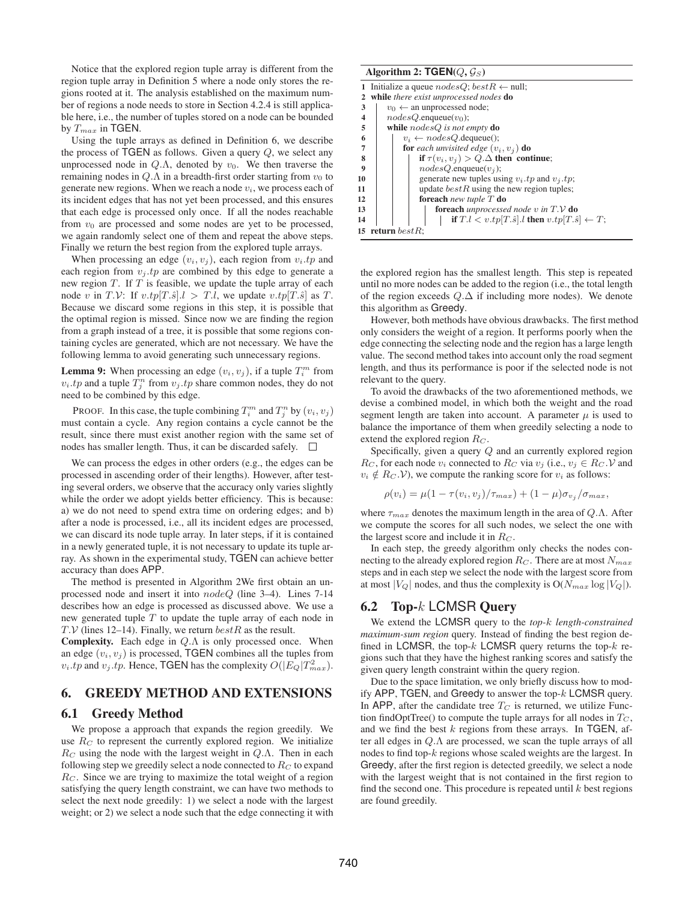Notice that the explored region tuple array is different from the region tuple array in Definition 5 where a node only stores the regions rooted at it. The analysis established on the maximum number of regions a node needs to store in Section 4.2.4 is still applicable here, i.e., the number of tuples stored on a node can be bounded by  $T_{max}$  in TGEN.

Using the tuple arrays as defined in Definition 6, we describe the process of  $TGEN$  as follows. Given a query  $Q$ , we select any unprocessed node in  $Q.\Lambda$ , denoted by  $v_0$ . We then traverse the remaining nodes in  $Q.\Lambda$  in a breadth-first order starting from  $v_0$  to generate new regions. When we reach a node  $v_i$ , we process each of its incident edges that has not yet been processed, and this ensures that each edge is processed only once. If all the nodes reachable from  $v_0$  are processed and some nodes are yet to be processed, we again randomly select one of them and repeat the above steps. Finally we return the best region from the explored tuple arrays.

When processing an edge  $(v_i, v_j)$ , each region from  $v_i \cdot tp$  and each region from  $v_j$  *tp* are combined by this edge to generate a new region  $T$ . If  $T$  is feasible, we update the tuple array of each node v in  $T.V:$  If  $v.tp[T.\hat{s}]$ . $l > T.l$ , we update  $v.tp[T.\hat{s}]$  as  $T.$ Because we discard some regions in this step, it is possible that the optimal region is missed. Since now we are finding the region from a graph instead of a tree, it is possible that some regions containing cycles are generated, which are not necessary. We have the following lemma to avoid generating such unnecessary regions.

**Lemma 9:** When processing an edge  $(v_i, v_j)$ , if a tuple  $T_i^m$  from  $v_i$  *tp* and a tuple  $T_j^n$  from  $v_j$  *tp* share common nodes, they do not need to be combined by this edge.

PROOF. In this case, the tuple combining  $T_i^m$  and  $T_j^n$  by  $(v_i, v_j)$ must contain a cycle. Any region contains a cycle cannot be the result, since there must exist another region with the same set of nodes has smaller length. Thus, it can be discarded safely.  $\square$ 

We can process the edges in other orders (e.g., the edges can be processed in ascending order of their lengths). However, after testing several orders, we observe that the accuracy only varies slightly while the order we adopt yields better efficiency. This is because: a) we do not need to spend extra time on ordering edges; and b) after a node is processed, i.e., all its incident edges are processed, we can discard its node tuple array. In later steps, if it is contained in a newly generated tuple, it is not necessary to update its tuple array. As shown in the experimental study, TGEN can achieve better accuracy than does APP.

The method is presented in Algorithm 2We first obtain an unprocessed node and insert it into nodeQ (line 3–4). Lines 7-14 describes how an edge is processed as discussed above. We use a new generated tuple  $T$  to update the tuple array of each node in  $T.V$  (lines 12–14). Finally, we return  $bestR$  as the result.

**Complexity.** Each edge in  $Q.\Lambda$  is only processed once. When an edge  $(v_i, v_j)$  is processed, TGEN combines all the tuples from  $v_i$  tp and  $v_j$  tp. Hence, TGEN has the complexity  $O(|E_Q|T_{max}^2)$ .

# 6. GREEDY METHOD AND EXTENSIONS

### 6.1 Greedy Method

We propose a approach that expands the region greedily. We use  $R_C$  to represent the currently explored region. We initialize  $R_C$  using the node with the largest weight in  $Q.\Lambda$ . Then in each following step we greedily select a node connected to  $R_C$  to expand  $R<sub>C</sub>$ . Since we are trying to maximize the total weight of a region satisfying the query length constraint, we can have two methods to select the next node greedily: 1) we select a node with the largest weight; or 2) we select a node such that the edge connecting it with

| Algorithm 2: $TGEN(Q, \mathcal{G}_S)$       |                                                                    |  |  |  |  |  |  |  |
|---------------------------------------------|--------------------------------------------------------------------|--|--|--|--|--|--|--|
|                                             | 1 Initialize a queue $nodesQ$ ; $bestR \leftarrow null$ ;          |  |  |  |  |  |  |  |
| while there exist unprocessed nodes do<br>2 |                                                                    |  |  |  |  |  |  |  |
| 3                                           | $v_0 \leftarrow$ an unprocessed node;                              |  |  |  |  |  |  |  |
| 4                                           | $nodesQ$ .enqueue $(v_0)$ ;                                        |  |  |  |  |  |  |  |
| 5                                           | while $nodesQ$ is not empty do                                     |  |  |  |  |  |  |  |
| 6                                           | $v_i \leftarrow nodesQ$ . dequeue();                               |  |  |  |  |  |  |  |
| 7                                           | <b>for</b> each unvisited edge $(v_i, v_j)$ <b>do</b>              |  |  |  |  |  |  |  |
| 8                                           | if $\tau(v_i, v_j) > Q.\Delta$ then continue;                      |  |  |  |  |  |  |  |
| 9                                           | $nodesQ$ .enqueue $(v_i)$ ;                                        |  |  |  |  |  |  |  |
| 10                                          | generate new tuples using $v_i$ <i>tp</i> and $v_j$ <i>tp</i> ;    |  |  |  |  |  |  |  |
| 11                                          | update $bestR$ using the new region tuples;                        |  |  |  |  |  |  |  |
| 12                                          | <b>foreach</b> new tuple $T$ <b>do</b>                             |  |  |  |  |  |  |  |
| 13                                          | <b>foreach</b> unprocessed node v in $T.V$ <b>do</b>               |  |  |  |  |  |  |  |
| 14                                          | if $T.l < v.tp[T.\hat{s}].l$ then $v.tp[T.\hat{s}] \leftarrow T$ ; |  |  |  |  |  |  |  |
| return best $R$ ;<br>15                     |                                                                    |  |  |  |  |  |  |  |

the explored region has the smallest length. This step is repeated until no more nodes can be added to the region (i.e., the total length of the region exceeds  $Q.\Delta$  if including more nodes). We denote this algorithm as Greedy.

However, both methods have obvious drawbacks. The first method only considers the weight of a region. It performs poorly when the edge connecting the selecting node and the region has a large length value. The second method takes into account only the road segment length, and thus its performance is poor if the selected node is not relevant to the query.

To avoid the drawbacks of the two aforementioned methods, we devise a combined model, in which both the weight and the road segment length are taken into account. A parameter  $\mu$  is used to balance the importance of them when greedily selecting a node to extend the explored region  $R_C$ .

Specifically, given a query Q and an currently explored region  $R_C$ , for each node  $v_i$  connected to  $R_C$  via  $v_i$  (i.e.,  $v_j \in R_C$ .) and  $v_i \notin R_C$  . $V$ ), we compute the ranking score for  $v_i$  as follows:

$$
\rho(v_i) = \mu(1 - \tau(v_i, v_j)/\tau_{max}) + (1 - \mu)\sigma_{v_j}/\sigma_{max},
$$

where  $\tau_{max}$  denotes the maximum length in the area of  $Q.\Lambda$ . After we compute the scores for all such nodes, we select the one with the largest score and include it in  $R_C$ .

In each step, the greedy algorithm only checks the nodes connecting to the already explored region  $R_C$ . There are at most  $N_{max}$ steps and in each step we select the node with the largest score from at most  $|V_Q|$  nodes, and thus the complexity is  $O(N_{max} \log |V_Q|)$ .

### 6.2 Top-k LCMSR Query

We extend the LCMSR query to the *top-*k *length-constrained maximum-sum region* query. Instead of finding the best region defined in LCMSR, the top- $k$  LCMSR query returns the top- $k$  regions such that they have the highest ranking scores and satisfy the given query length constraint within the query region.

Due to the space limitation, we only briefly discuss how to modify APP, TGEN, and Greedy to answer the top-k LCMSR query. In APP, after the candidate tree  $T_C$  is returned, we utilize Function findOptTree() to compute the tuple arrays for all nodes in  $T_C$ , and we find the best  $k$  regions from these arrays. In TGEN, after all edges in  $Q.\Lambda$  are processed, we scan the tuple arrays of all nodes to find top-k regions whose scaled weights are the largest. In Greedy, after the first region is detected greedily, we select a node with the largest weight that is not contained in the first region to find the second one. This procedure is repeated until  $k$  best regions are found greedily.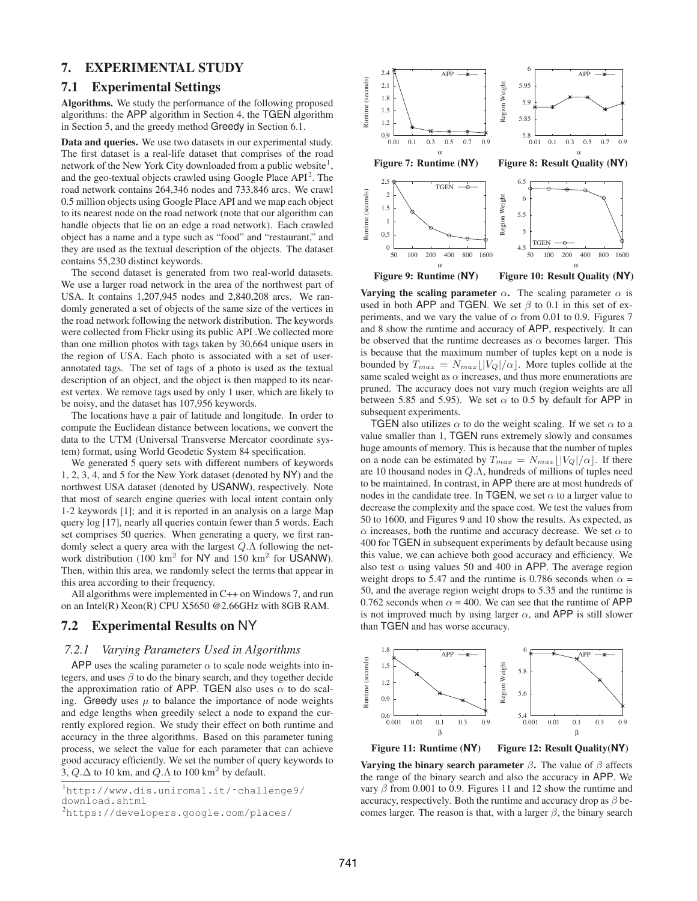### 7. EXPERIMENTAL STUDY

### 7.1 Experimental Settings

Algorithms. We study the performance of the following proposed algorithms: the APP algorithm in Section 4, the TGEN algorithm in Section 5, and the greedy method Greedy in Section 6.1.

Data and queries. We use two datasets in our experimental study. The first dataset is a real-life dataset that comprises of the road network of the New York City downloaded from a public website $<sup>1</sup>$ ,</sup> and the geo-textual objects crawled using Google Place  $API<sup>2</sup>$ . The road network contains 264,346 nodes and 733,846 arcs. We crawl 0.5 million objects using Google Place API and we map each object to its nearest node on the road network (note that our algorithm can handle objects that lie on an edge a road network). Each crawled object has a name and a type such as "food" and "restaurant," and they are used as the textual description of the objects. The dataset contains 55,230 distinct keywords.

The second dataset is generated from two real-world datasets. We use a larger road network in the area of the northwest part of USA. It contains 1,207,945 nodes and 2,840,208 arcs. We randomly generated a set of objects of the same size of the vertices in the road network following the network distribution. The keywords were collected from Flickr using its public API .We collected more than one million photos with tags taken by 30,664 unique users in the region of USA. Each photo is associated with a set of userannotated tags. The set of tags of a photo is used as the textual description of an object, and the object is then mapped to its nearest vertex. We remove tags used by only 1 user, which are likely to be noisy, and the dataset has 107,956 keywords.

The locations have a pair of latitude and longitude. In order to compute the Euclidean distance between locations, we convert the data to the UTM (Universal Transverse Mercator coordinate system) format, using World Geodetic System 84 specification.

We generated 5 query sets with different numbers of keywords 1, 2, 3, 4, and 5 for the New York dataset (denoted by NY) and the northwest USA dataset (denoted by USANW), respectively. Note that most of search engine queries with local intent contain only 1-2 keywords [1]; and it is reported in an analysis on a large Map query log [17], nearly all queries contain fewer than 5 words. Each set comprises 50 queries. When generating a query, we first randomly select a query area with the largest Q.Λ following the network distribution (100  $km^2$  for NY and 150  $km^2$  for USANW). Then, within this area, we randomly select the terms that appear in this area according to their frequency.

All algorithms were implemented in C++ on Windows 7, and run on an Intel(R) Xeon(R) CPU X5650 @2.66GHz with 8GB RAM.

### 7.2 Experimental Results on NY

### *7.2.1 Varying Parameters Used in Algorithms*

APP uses the scaling parameter  $\alpha$  to scale node weights into integers, and uses  $\beta$  to do the binary search, and they together decide the approximation ratio of APP. TGEN also uses  $\alpha$  to do scaling. Greedy uses  $\mu$  to balance the importance of node weights and edge lengths when greedily select a node to expand the currently explored region. We study their effect on both runtime and accuracy in the three algorithms. Based on this parameter tuning process, we select the value for each parameter that can achieve good accuracy efficiently. We set the number of query keywords to 3,  $Q.\Delta$  to 10 km, and  $Q.\Lambda$  to 100 km<sup>2</sup> by default.



Figure 9: Runtime (**NY**) Figure 10: Result Quality (**NY**)

Varying the scaling parameter  $\alpha$ . The scaling parameter  $\alpha$  is used in both APP and TGEN. We set  $\beta$  to 0.1 in this set of experiments, and we vary the value of  $\alpha$  from 0.01 to 0.9. Figures 7 and 8 show the runtime and accuracy of APP, respectively. It can be observed that the runtime decreases as  $\alpha$  becomes larger. This is because that the maximum number of tuples kept on a node is bounded by  $T_{max} = N_{max} \lfloor |V_Q|/\alpha \rfloor$ . More tuples collide at the same scaled weight as  $\alpha$  increases, and thus more enumerations are pruned. The accuracy does not vary much (region weights are all between 5.85 and 5.95). We set  $\alpha$  to 0.5 by default for APP in subsequent experiments.

TGEN also utilizes  $\alpha$  to do the weight scaling. If we set  $\alpha$  to a value smaller than 1, TGEN runs extremely slowly and consumes huge amounts of memory. This is because that the number of tuples on a node can be estimated by  $T_{max} = N_{max} ||V_Q| / \alpha$ . If there are 10 thousand nodes in Q.Λ, hundreds of millions of tuples need to be maintained. In contrast, in APP there are at most hundreds of nodes in the candidate tree. In TGEN, we set  $\alpha$  to a larger value to decrease the complexity and the space cost. We test the values from 50 to 1600, and Figures 9 and 10 show the results. As expected, as  $\alpha$  increases, both the runtime and accuracy decrease. We set  $\alpha$  to 400 for TGEN in subsequent experiments by default because using this value, we can achieve both good accuracy and efficiency. We also test  $\alpha$  using values 50 and 400 in APP. The average region weight drops to 5.47 and the runtime is 0.786 seconds when  $\alpha$  = 50, and the average region weight drops to 5.35 and the runtime is 0.762 seconds when  $\alpha$  = 400. We can see that the runtime of APP is not improved much by using larger  $\alpha$ , and APP is still slower than TGEN and has worse accuracy.



Figure 11: Runtime (**NY**) Figure 12: Result Quality(**NY**)

Varying the binary search parameter  $\beta$ . The value of  $\beta$  affects the range of the binary search and also the accuracy in APP. We vary  $\beta$  from 0.001 to 0.9. Figures 11 and 12 show the runtime and accuracy, respectively. Both the runtime and accuracy drop as  $\beta$  becomes larger. The reason is that, with a larger  $\beta$ , the binary search

<sup>1</sup>http://www.dis.uniroma1.it/˜challenge9/ download.shtml

<sup>2</sup>https://developers.google.com/places/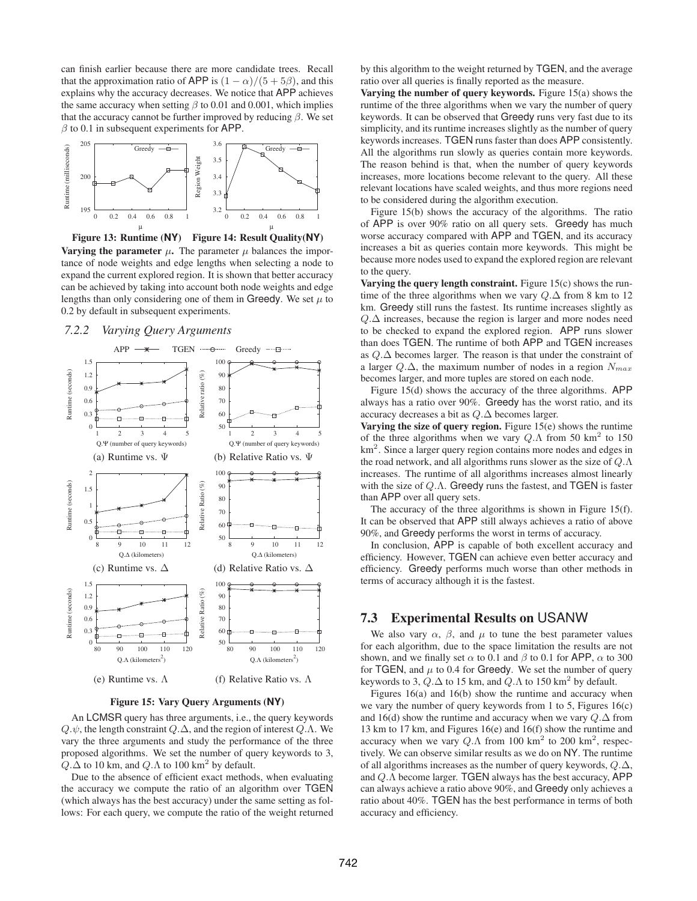can finish earlier because there are more candidate trees. Recall that the approximation ratio of APP is  $(1 - \alpha)/(5 + 5\beta)$ , and this explains why the accuracy decreases. We notice that APP achieves the same accuracy when setting  $\beta$  to 0.01 and 0.001, which implies that the accuracy cannot be further improved by reducing  $\beta$ . We set  $\beta$  to 0.1 in subsequent experiments for APP.









Figure 15: Vary Query Arguments (**NY**)

An LCMSR query has three arguments, i.e., the query keywords  $Q.\psi$ , the length constraint  $Q.\Delta$ , and the region of interest  $Q.\Lambda$ . We vary the three arguments and study the performance of the three proposed algorithms. We set the number of query keywords to 3,  $Q.\Delta$  to 10 km, and  $Q.\Lambda$  to 100 km<sup>2</sup> by default.

Due to the absence of efficient exact methods, when evaluating the accuracy we compute the ratio of an algorithm over TGEN (which always has the best accuracy) under the same setting as follows: For each query, we compute the ratio of the weight returned by this algorithm to the weight returned by TGEN, and the average ratio over all queries is finally reported as the measure.

Varying the number of query keywords. Figure 15(a) shows the runtime of the three algorithms when we vary the number of query keywords. It can be observed that Greedy runs very fast due to its simplicity, and its runtime increases slightly as the number of query keywords increases. TGEN runs faster than does APP consistently. All the algorithms run slowly as queries contain more keywords. The reason behind is that, when the number of query keywords increases, more locations become relevant to the query. All these relevant locations have scaled weights, and thus more regions need to be considered during the algorithm execution.

Figure 15(b) shows the accuracy of the algorithms. The ratio of APP is over 90% ratio on all query sets. Greedy has much worse accuracy compared with APP and TGEN, and its accuracy increases a bit as queries contain more keywords. This might be because more nodes used to expand the explored region are relevant to the query.

Varying the query length constraint. Figure 15(c) shows the runtime of the three algorithms when we vary  $Q.\Delta$  from 8 km to 12 km. Greedy still runs the fastest. Its runtime increases slightly as Q.∆ increases, because the region is larger and more nodes need to be checked to expand the explored region. APP runs slower than does TGEN. The runtime of both APP and TGEN increases as Q.∆ becomes larger. The reason is that under the constraint of a larger  $Q.\Delta$ , the maximum number of nodes in a region  $N_{max}$ becomes larger, and more tuples are stored on each node.

Figure 15(d) shows the accuracy of the three algorithms. APP always has a ratio over 90%. Greedy has the worst ratio, and its accuracy decreases a bit as Q.∆ becomes larger.

Varying the size of query region. Figure 15(e) shows the runtime of the three algorithms when we vary  $Q.\Lambda$  from 50 km<sup>2</sup> to 150 km<sup>2</sup>. Since a larger query region contains more nodes and edges in the road network, and all algorithms runs slower as the size of  $Q.\Lambda$ increases. The runtime of all algorithms increases almost linearly with the size of  $Q.\Lambda$ . Greedy runs the fastest, and TGEN is faster than APP over all query sets.

The accuracy of the three algorithms is shown in Figure 15(f). It can be observed that APP still always achieves a ratio of above 90%, and Greedy performs the worst in terms of accuracy.

In conclusion, APP is capable of both excellent accuracy and efficiency. However, TGEN can achieve even better accuracy and efficiency. Greedy performs much worse than other methods in terms of accuracy although it is the fastest.

### 7.3 Experimental Results on USANW

We also vary  $\alpha$ ,  $\beta$ , and  $\mu$  to tune the best parameter values for each algorithm, due to the space limitation the results are not shown, and we finally set  $\alpha$  to 0.1 and  $\beta$  to 0.1 for APP,  $\alpha$  to 300 for TGEN, and  $\mu$  to 0.4 for Greedy. We set the number of query keywords to 3,  $Q.\Delta$  to 15 km, and  $Q.\Lambda$  to 150 km<sup>2</sup> by default.

Figures 16(a) and 16(b) show the runtime and accuracy when we vary the number of query keywords from 1 to 5, Figures  $16(c)$ and 16(d) show the runtime and accuracy when we vary  $Q.\Delta$  from 13 km to 17 km, and Figures 16(e) and 16(f) show the runtime and accuracy when we vary  $Q.\Lambda$  from 100 km<sup>2</sup> to 200 km<sup>2</sup>, respectively. We can observe similar results as we do on NY. The runtime of all algorithms increases as the number of query keywords, Q.∆, and Q.Λ become larger. TGEN always has the best accuracy, APP can always achieve a ratio above 90%, and Greedy only achieves a ratio about 40%. TGEN has the best performance in terms of both accuracy and efficiency.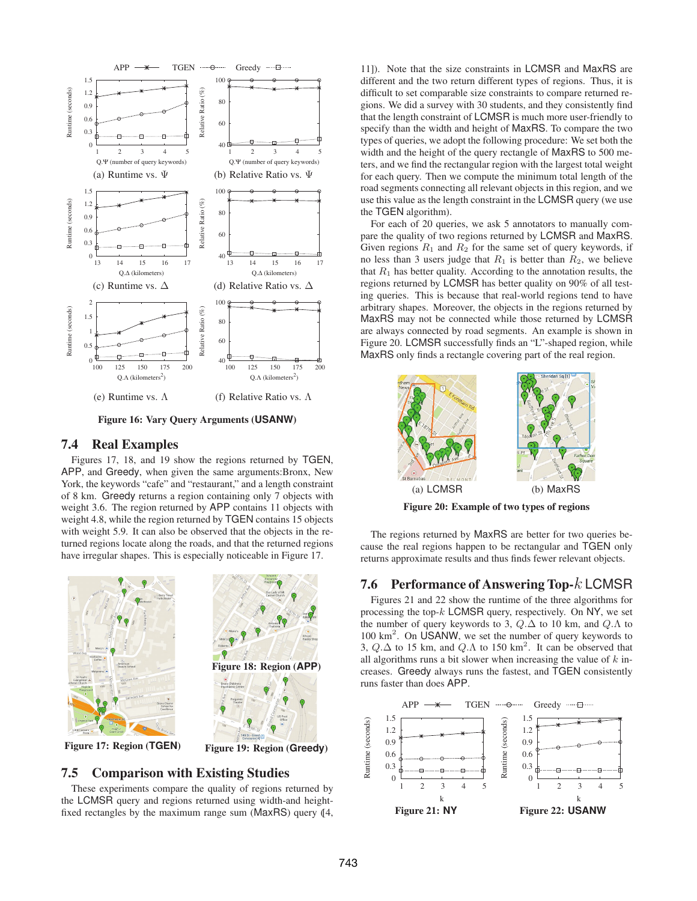

Figure 16: Vary Query Arguments (**USANW**)

### 7.4 Real Examples

Figures 17, 18, and 19 show the regions returned by TGEN, APP, and Greedy, when given the same arguments:Bronx, New York, the keywords "cafe" and "restaurant," and a length constraint of 8 km. Greedy returns a region containing only 7 objects with weight 3.6. The region returned by APP contains 11 objects with weight 4.8, while the region returned by TGEN contains 15 objects with weight 5.9. It can also be observed that the objects in the returned regions locate along the roads, and that the returned regions have irregular shapes. This is especially noticeable in Figure 17.



### 7.5 Comparison with Existing Studies

These experiments compare the quality of regions returned by the LCMSR query and regions returned using width-and heightfixed rectangles by the maximum range sum ( $MaxRS$ ) query  $(14, 12)$ 

11]). Note that the size constraints in LCMSR and MaxRS are different and the two return different types of regions. Thus, it is difficult to set comparable size constraints to compare returned regions. We did a survey with 30 students, and they consistently find that the length constraint of LCMSR is much more user-friendly to specify than the width and height of MaxRS. To compare the two types of queries, we adopt the following procedure: We set both the width and the height of the query rectangle of MaxRS to 500 meters, and we find the rectangular region with the largest total weight for each query. Then we compute the minimum total length of the road segments connecting all relevant objects in this region, and we use this value as the length constraint in the LCMSR query (we use the TGEN algorithm).

For each of 20 queries, we ask 5 annotators to manually compare the quality of two regions returned by LCMSR and MaxRS. Given regions  $R_1$  and  $R_2$  for the same set of query keywords, if no less than 3 users judge that  $R_1$  is better than  $R_2$ , we believe that  $R_1$  has better quality. According to the annotation results, the regions returned by LCMSR has better quality on 90% of all testing queries. This is because that real-world regions tend to have arbitrary shapes. Moreover, the objects in the regions returned by MaxRS may not be connected while those returned by LCMSR are always connected by road segments. An example is shown in Figure 20. LCMSR successfully finds an "L"-shaped region, while MaxRS only finds a rectangle covering part of the real region.



Figure 20: Example of two types of regions

The regions returned by MaxRS are better for two queries because the real regions happen to be rectangular and TGEN only returns approximate results and thus finds fewer relevant objects.

### 7.6 Performance of Answering Top-k LCMSR

Figures 21 and 22 show the runtime of the three algorithms for processing the top- $k$  LCMSR query, respectively. On NY, we set the number of query keywords to 3,  $Q.\Delta$  to 10 km, and  $Q.\Lambda$  to 100 km<sup>2</sup> . On USANW, we set the number of query keywords to 3,  $Q.\Delta$  to 15 km, and  $Q.\Lambda$  to 150 km<sup>2</sup>. It can be observed that all algorithms runs a bit slower when increasing the value of  $k$  increases. Greedy always runs the fastest, and TGEN consistently runs faster than does APP.